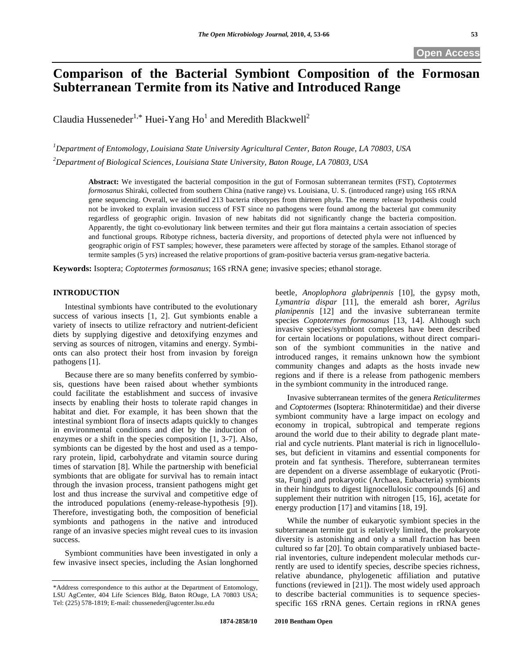# **Comparison of the Bacterial Symbiont Composition of the Formosan Subterranean Termite from its Native and Introduced Range**

Claudia Husseneder<sup>1,\*</sup> Huei-Yang Ho<sup>1</sup> and Meredith Blackwell<sup>2</sup>

*1 Department of Entomology, Louisiana State University Agricultural Center, Baton Rouge, LA 70803, USA 2 Department of Biological Sciences, Louisiana State University, Baton Rouge, LA 70803, USA* 

**Abstract:** We investigated the bacterial composition in the gut of Formosan subterranean termites (FST), *Coptotermes formosanus* Shiraki, collected from southern China (native range) vs. Louisiana, U. S. (introduced range) using 16S rRNA gene sequencing. Overall, we identified 213 bacteria ribotypes from thirteen phyla. The enemy release hypothesis could not be invoked to explain invasion success of FST since no pathogens were found among the bacterial gut community regardless of geographic origin. Invasion of new habitats did not significantly change the bacteria composition. Apparently, the tight co-evolutionary link between termites and their gut flora maintains a certain association of species and functional groups. Ribotype richness, bacteria diversity, and proportions of detected phyla were not influenced by geographic origin of FST samples; however, these parameters were affected by storage of the samples. Ethanol storage of termite samples (5 yrs) increased the relative proportions of gram-positive bacteria versus gram-negative bacteria.

**Keywords:** Isoptera; *Coptotermes formosanus*; 16S rRNA gene; invasive species; ethanol storage.

# **INTRODUCTION**

 Intestinal symbionts have contributed to the evolutionary success of various insects [1, 2]. Gut symbionts enable a variety of insects to utilize refractory and nutrient-deficient diets by supplying digestive and detoxifying enzymes and serving as sources of nitrogen, vitamins and energy. Symbionts can also protect their host from invasion by foreign pathogens [1].

 Because there are so many benefits conferred by symbiosis, questions have been raised about whether symbionts could facilitate the establishment and success of invasive insects by enabling their hosts to tolerate rapid changes in habitat and diet. For example, it has been shown that the intestinal symbiont flora of insects adapts quickly to changes in environmental conditions and diet by the induction of enzymes or a shift in the species composition [1, 3-7]. Also, symbionts can be digested by the host and used as a temporary protein, lipid, carbohydrate and vitamin source during times of starvation [8]. While the partnership with beneficial symbionts that are obligate for survival has to remain intact through the invasion process, transient pathogens might get lost and thus increase the survival and competitive edge of the introduced populations (enemy-release-hypothesis [9]). Therefore, investigating both, the composition of beneficial symbionts and pathogens in the native and introduced range of an invasive species might reveal cues to its invasion success.

 Symbiont communities have been investigated in only a few invasive insect species, including the Asian longhorned beetle, *Anoplophora glabripennis* [10], the gypsy moth, *Lymantria dispar* [11], the emerald ash borer, *Agrilus planipennis* [12] and the invasive subterranean termite species *Coptotermes formosanus* [13, 14]. Although such invasive species/symbiont complexes have been described for certain locations or populations, without direct comparison of the symbiont communities in the native and introduced ranges, it remains unknown how the symbiont community changes and adapts as the hosts invade new regions and if there is a release from pathogenic members in the symbiont community in the introduced range.

 Invasive subterranean termites of the genera *Reticulitermes* and *Coptotermes* (Isoptera: Rhinotermitidae) and their diverse symbiont community have a large impact on ecology and economy in tropical, subtropical and temperate regions around the world due to their ability to degrade plant material and cycle nutrients. Plant material is rich in lignocelluloses, but deficient in vitamins and essential components for protein and fat synthesis. Therefore, subterranean termites are dependent on a diverse assemblage of eukaryotic (Protista, Fungi) and prokaryotic (Archaea, Eubacteria) symbionts in their hindguts to digest lignocellulosic compounds [6] and supplement their nutrition with nitrogen [15, 16], acetate for energy production [17] and vitamins [18, 19].

 While the number of eukaryotic symbiont species in the subterranean termite gut is relatively limited, the prokaryote diversity is astonishing and only a small fraction has been cultured so far [20]. To obtain comparatively unbiased bacterial inventories, culture independent molecular methods currently are used to identify species, describe species richness, relative abundance, phylogenetic affiliation and putative functions (reviewed in [21]). The most widely used approach to describe bacterial communities is to sequence speciesspecific 16S rRNA genes. Certain regions in rRNA genes

<sup>\*</sup>Address correspondence to this author at the Department of Entomology, LSU AgCenter, 404 Life Sciences Bldg, Baton ROuge, LA 70803 USA; Tel: (225) 578-1819; E-mail: chusseneder@agcenter.lsu.edu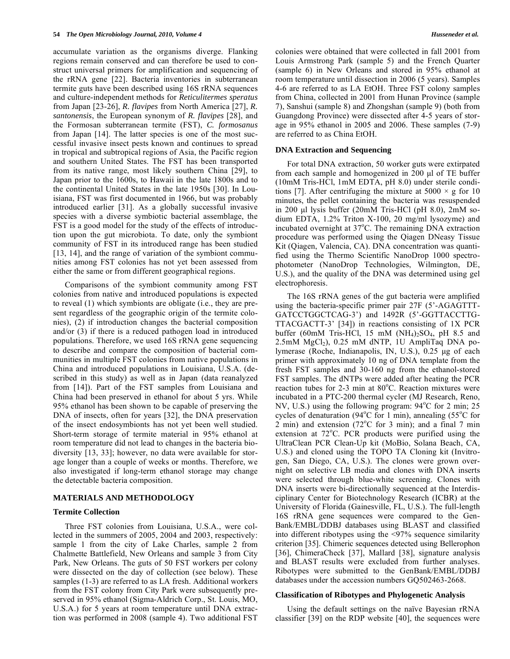accumulate variation as the organisms diverge. Flanking regions remain conserved and can therefore be used to construct universal primers for amplification and sequencing of the rRNA gene [22]. Bacteria inventories in subterranean termite guts have been described using 16S rRNA sequences and culture-independent methods for *Reticulitermes speratus* from Japan [23-26], *R. flavipes* from North America [27], *R. santonensis*, the European synonym of *R. flavipes* [28], and the Formosan subterranean termite (FST), *C. formosanus* from Japan [14]. The latter species is one of the most successful invasive insect pests known and continues to spread in tropical and subtropical regions of Asia, the Pacific region and southern United States. The FST has been transported from its native range, most likely southern China [29], to Japan prior to the 1600s, to Hawaii in the late 1800s and to the continental United States in the late 1950s [30]. In Louisiana, FST was first documented in 1966, but was probably introduced earlier [31]. As a globally successful invasive species with a diverse symbiotic bacterial assemblage, the FST is a good model for the study of the effects of introduction upon the gut microbiota. To date, only the symbiont community of FST in its introduced range has been studied [13, 14], and the range of variation of the symbiont communities among FST colonies has not yet been assessed from either the same or from different geographical regions.

 Comparisons of the symbiont community among FST colonies from native and introduced populations is expected to reveal (1) which symbionts are obligate (i.e., they are present regardless of the geographic origin of the termite colonies), (2) if introduction changes the bacterial composition and/or (3) if there is a reduced pathogen load in introduced populations. Therefore, we used 16S rRNA gene sequencing to describe and compare the composition of bacterial communities in multiple FST colonies from native populations in China and introduced populations in Louisiana, U.S.A. (described in this study) as well as in Japan (data reanalyzed from [14]). Part of the FST samples from Louisiana and China had been preserved in ethanol for about 5 yrs. While 95% ethanol has been shown to be capable of preserving the DNA of insects, often for years [32], the DNA preservation of the insect endosymbionts has not yet been well studied. Short-term storage of termite material in 95% ethanol at room temperature did not lead to changes in the bacteria biodiversity [13, 33]; however, no data were available for storage longer than a couple of weeks or months. Therefore, we also investigated if long-term ethanol storage may change the detectable bacteria composition.

#### **MATERIALS AND METHODOLOGY**

#### **Termite Collection**

 Three FST colonies from Louisiana, U.S.A., were collected in the summers of 2005, 2004 and 2003, respectively: sample 1 from the city of Lake Charles, sample 2 from Chalmette Battlefield, New Orleans and sample 3 from City Park, New Orleans. The guts of 50 FST workers per colony were dissected on the day of collection (see below). These samples (1-3) are referred to as LA fresh. Additional workers from the FST colony from City Park were subsequently preserved in 95% ethanol (Sigma-Aldrich Corp., St. Louis, MO, U.S.A.) for 5 years at room temperature until DNA extraction was performed in 2008 (sample 4). Two additional FST colonies were obtained that were collected in fall 2001 from Louis Armstrong Park (sample 5) and the French Quarter (sample 6) in New Orleans and stored in 95% ethanol at room temperature until dissection in 2006 (5 years). Samples 4-6 are referred to as LA EtOH. Three FST colony samples from China, collected in 2001 from Hunan Province (sample 7), Sanshui (sample 8) and Zhongshan (sample 9) (both from Guangdong Province) were dissected after 4-5 years of storage in 95% ethanol in 2005 and 2006. These samples (7-9) are referred to as China EtOH.

#### **DNA Extraction and Sequencing**

 For total DNA extraction, 50 worker guts were extirpated from each sample and homogenized in 200 μl of TE buffer (10mM Tris-HCl, 1mM EDTA, pH 8.0) under sterile conditions [7]. After centrifuging the mixture at  $5000 \times g$  for 10 minutes, the pellet containing the bacteria was resuspended in 200 μl lysis buffer (20mM Tris-HCl (pH 8.0), 2mM sodium EDTA, 1.2% Triton X-100, 20 mg/ml lysozyme) and incubated overnight at 37°C. The remaining DNA extraction procedure was performed using the Qiagen DNeasy Tissue Kit (Qiagen, Valencia, CA). DNA concentration was quantified using the Thermo Scientific NanoDrop 1000 spectrophotometer (NanoDrop Technologies, Wilmington, DE, U.S.), and the quality of the DNA was determined using gel electrophoresis.

 The 16S rRNA genes of the gut bacteria were amplified using the bacteria-specific primer pair 27F (5'-AGAGTTT-GATCCTGGCTCAG-3') and 1492R (5'-GGTTACCTTG-TTACGACTT-3' [34]) in reactions consisting of 1X PCR buffer (60mM Tris-HCl, 15 mM  $(NH<sub>4</sub>)<sub>2</sub>SO<sub>4</sub>$ , pH 8.5 and  $2.5$ mM MgCl<sub>2</sub>),  $0.25$  mM dNTP, 1U AmpliTaq DNA polymerase (Roche, Indianapolis, IN, U.S.), 0.25 μg of each primer with approximately 10 ng of DNA template from the fresh FST samples and 30-160 ng from the ethanol-stored FST samples. The dNTPs were added after heating the PCR reaction tubes for 2-3 min at 80°C. Reaction mixtures were incubated in a PTC-200 thermal cycler (MJ Research, Reno, NV, U.S.) using the following program:  $94^{\circ}$ C for 2 min;  $25$ cycles of denaturation (94 $^{\circ}$ C for 1 min), annealing (55 $^{\circ}$ C for  $2 \text{ min}$ ) and extension (72°C for 3 min); and a final 7 min extension at 72°C. PCR products were purified using the UltraClean PCR Clean-Up kit (MoBio, Solana Beach, CA, U.S.) and cloned using the TOPO TA Cloning kit (Invitrogen, San Diego, CA, U.S.). The clones were grown overnight on selective LB media and clones with DNA inserts were selected through blue-white screening. Clones with DNA inserts were bi-directionally sequenced at the Interdisciplinary Center for Biotechnology Research (ICBR) at the University of Florida (Gainesville, FL, U.S.). The full-length 16S rRNA gene sequences were compared to the Gen-Bank/EMBL/DDBJ databases using BLAST and classified into different ribotypes using the <97% sequence similarity criterion [35]. Chimeric sequences detected using Bellerophon [36], ChimeraCheck [37], Mallard [38], signature analysis and BLAST results were excluded from further analyses. Ribotypes were submitted to the GenBank/EMBL/DDBJ databases under the accession numbers GQ502463-2668.

#### **Classification of Ribotypes and Phylogenetic Analysis**

 Using the default settings on the naïve Bayesian rRNA classifier [39] on the RDP website [40], the sequences were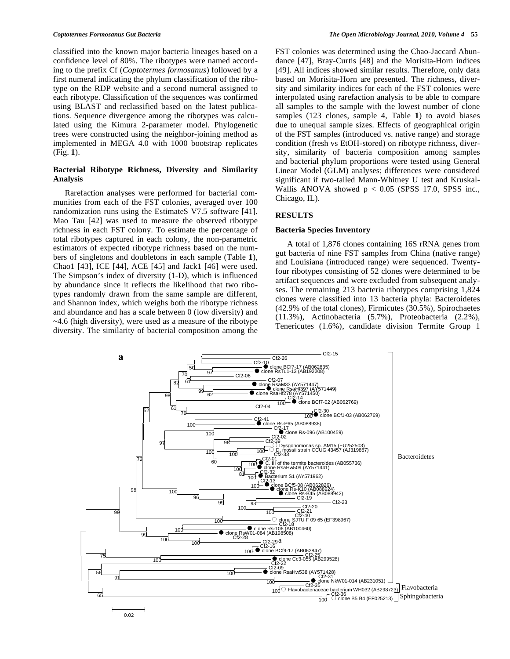classified into the known major bacteria lineages based on a confidence level of 80%. The ribotypes were named according to the prefix Cf (*Coptotermes formosanus*) followed by a first numeral indicating the phylum classification of the ribotype on the RDP website and a second numeral assigned to each ribotype. Classification of the sequences was confirmed using BLAST and reclassified based on the latest publications. Sequence divergence among the ribotypes was calculated using the Kimura 2-parameter model. Phylogenetic trees were constructed using the neighbor-joining method as implemented in MEGA 4.0 with 1000 bootstrap replicates (Fig. **1**).

# **Bacterial Ribotype Richness, Diversity and Similarity Analysis**

 Rarefaction analyses were performed for bacterial communities from each of the FST colonies, averaged over 100 randomization runs using the EstimateS V7.5 software [41]. Mao Tau [42] was used to measure the observed ribotype richness in each FST colony. To estimate the percentage of total ribotypes captured in each colony, the non-parametric estimators of expected ribotype richness based on the numbers of singletons and doubletons in each sample (Table **1**), Chao1 [43], ICE [44], ACE [45] and Jack1 [46] were used. The Simpson's index of diversity (1-D), which is influenced by abundance since it reflects the likelihood that two ribotypes randomly drawn from the same sample are different, and Shannon index, which weighs both the ribotype richness and abundance and has a scale between 0 (low diversity) and ~4.6 (high diversity), were used as a measure of the ribotype diversity. The similarity of bacterial composition among the FST colonies was determined using the Chao-Jaccard Abundance [47], Bray-Curtis [48] and the Morisita-Horn indices [49]. All indices showed similar results. Therefore, only data based on Morisita-Horn are presented. The richness, diversity and similarity indices for each of the FST colonies were interpolated using rarefaction analysis to be able to compare all samples to the sample with the lowest number of clone samples (123 clones, sample 4, Table **1**) to avoid biases due to unequal sample sizes. Effects of geographical origin of the FST samples (introduced vs. native range) and storage condition (fresh vs EtOH-stored) on ribotype richness, diversity, similarity of bacteria composition among samples and bacterial phylum proportions were tested using General Linear Model (GLM) analyses; differences were considered significant if two-tailed Mann-Whitney U test and Kruskal-Wallis ANOVA showed  $p < 0.05$  (SPSS 17.0, SPSS inc., Chicago, IL).

# **RESULTS**

### **Bacteria Species Inventory**

 A total of 1,876 clones containing 16S rRNA genes from gut bacteria of nine FST samples from China (native range) and Louisiana (introduced range) were sequenced. Twentyfour ribotypes consisting of 52 clones were determined to be artifact sequences and were excluded from subsequent analyses. The remaining 213 bacteria ribotypes comprising 1,824 clones were classified into 13 bacteria phyla: Bacteroidetes (42.9% of the total clones), Firmicutes (30.5%), Spirochaetes (11.3%), Actinobacteria (5.7%), Proteobacteria (2.2%), Tenericutes (1.6%), candidate division Termite Group 1

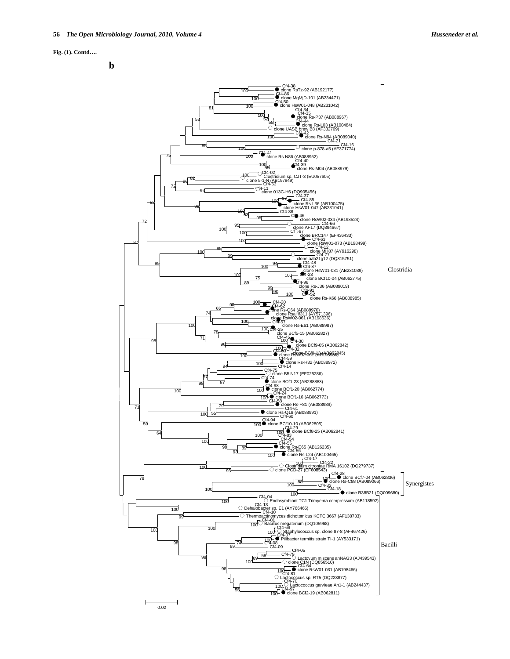#### **Fig. (1). Contd….**



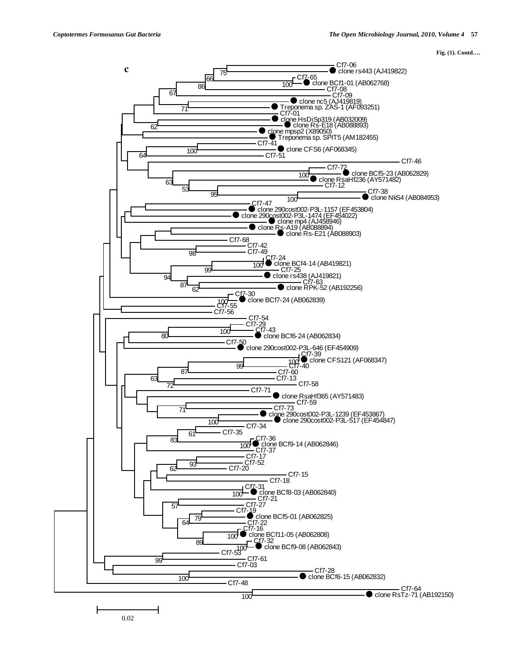**Fig. (1). Contd….**



0.02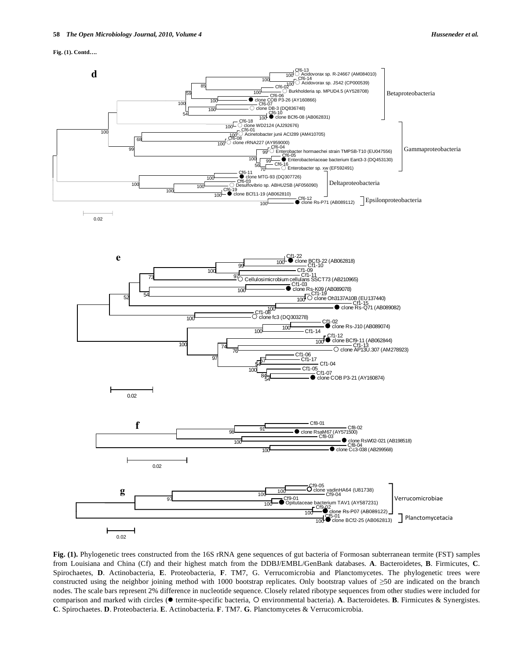



![](_page_5_Figure_4.jpeg)

from Louisiana and China (Cf) and their highest match from the DDBJ/EMBL/GenBank databases. **A**. Bacteroidetes, **B**. Firmicutes, **C**. Spirochaetes, **D**. Actinobacteria, **E**. Proteobacteria, **F**. TM7, G. Verrucomicrobia and Planctomycetes. The phylogenetic trees were constructed using the neighbor joining method with 1000 bootstrap replicates. Only bootstrap values of  $\geq$ 50 are indicated on the branch nodes. The scale bars represent 2% difference in nucleotide sequence. Closely related ribotype sequences from other studies were included for comparison and marked with circles ( $\bullet$  termite-specific bacteria, O environmental bacteria). A. Bacteroidetes. B. Firmicutes & Synergistes. **C**. Spirochaetes. **D**. Proteobacteria. **E**. Actinobacteria. **F**. TM7. **G**. Planctomycetes & Verrucomicrobia.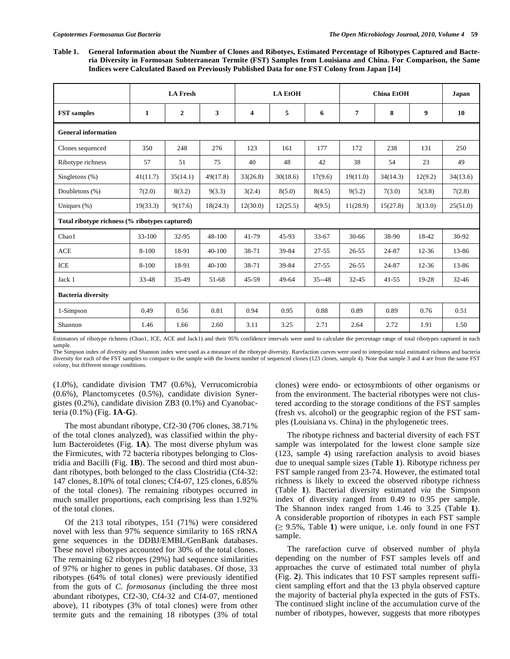**Table 1. General Information about the Number of Clones and Ribotyes, Estimated Percentage of Ribotypes Captured and Bacteria Diversity in Formosan Subterranean Termite (FST) Samples from Louisiana and China. For Comparison, the Same Indices were Calculated Based on Previously Published Data for one FST Colony from Japan [14]** 

|                                                | <b>LA Fresh</b> |              |            | <b>LA EtOH</b> |          |           | <b>China EtOH</b> |           |           | Japan     |  |  |
|------------------------------------------------|-----------------|--------------|------------|----------------|----------|-----------|-------------------|-----------|-----------|-----------|--|--|
| <b>FST</b> samples                             | 1               | $\mathbf{2}$ | 3          | 4              | 5        | 6         | $\overline{7}$    | 8         | 9         | 10        |  |  |
| <b>General information</b>                     |                 |              |            |                |          |           |                   |           |           |           |  |  |
| Clones sequenced                               | 350             | 248          | 276        | 123            | 161      | 177       | 172               | 238       | 131       | 250       |  |  |
| Ribotype richness                              | 57              | 51           | 75         | 40             | 48       | 42        | 38                | 54        | 23        | 49        |  |  |
| Singletons $(\%)$                              | 41(11.7)        | 35(14.1)     | 49(17.8)   | 33(26.8)       | 30(18.6) | 17(9.6)   | 19(11.0)          | 34(14.3)  | 12(9.2)   | 34(13.6)  |  |  |
| Doubletons (%)                                 | 7(2.0)          | 8(3.2)       | 9(3.3)     | 3(2.4)         | 8(5.0)   | 8(4.5)    | 9(5.2)            | 7(3.0)    | 5(3.8)    | 7(2.8)    |  |  |
| Uniques $(\%)$                                 | 19(33.3)        | 9(17.6)      | 18(24.3)   | 12(30.0)       | 12(25.5) | 4(9.5)    | 11(28.9)          | 15(27.8)  | 3(13.0)   | 25(51.0)  |  |  |
| Total ribotype richness (% ribotypes captured) |                 |              |            |                |          |           |                   |           |           |           |  |  |
| Chao1                                          | $33 - 100$      | 32-95        | 48-100     | $41 - 79$      | 45-93    | $33 - 67$ | $30 - 66$         | 38-90     | 18-42     | 30-92     |  |  |
| <b>ACE</b>                                     | 8-100           | 18-91        | $40 - 100$ | 38-71          | 39-84    | $27 - 55$ | $26 - 55$         | 24-87     | $12 - 36$ | 13-86     |  |  |
| <b>ICE</b>                                     | 8-100           | 18-91        | 40-100     | 38-71          | 39-84    | $27 - 55$ | $26 - 55$         | 24-87     | $12 - 36$ | 13-86     |  |  |
| Jack 1                                         | $33 - 48$       | 35-49        | 51-68      | $45 - 59$      | 49-64    | $35 - 48$ | $32 - 45$         | $41 - 55$ | 19-28     | $32 - 46$ |  |  |
| <b>Bacteria diversity</b>                      |                 |              |            |                |          |           |                   |           |           |           |  |  |
| 1-Simpson                                      | 0.49            | 0.56         | 0.81       | 0.94           | 0.95     | 0.88      | 0.89              | 0.89      | 0.76      | 0.51      |  |  |
| Shannon                                        | 1.46            | 1.66         | 2.60       | 3.11           | 3.25     | 2.71      | 2.64              | 2.72      | 1.91      | 1.50      |  |  |

Estimators of ribotype richness (Chao1, ICE, ACE and Jack1) and their 95% confidence intervals were used to calculate the percentage range of total ribotypes captured in each sample.

The Simpson index of diversity and Shannon index were used as a measure of the ribotype diversity. Rarefaction curves were used to interpolate total estimated richness and bacteria diversity for each of the FST samples to compare to the sample with the lowest number of sequenced clones (123 clones, sample 4). Note that sample 3 and 4 are from the same FST colony, but different storage conditions.

(1.0%), candidate division TM7 (0.6%), Verrucomicrobia (0.6%), Planctomycetes (0.5%), candidate division Synergistes (0.2%), candidate division ZB3 (0.1%) and Cyanobacteria (0.1%) (Fig. **1A**-**G**).

 The most abundant ribotype, Cf2-30 (706 clones, 38.71% of the total clones analyzed), was classified within the phylum Bacteroidetes (Fig. **1A**). The most diverse phylum was the Firmicutes, with 72 bacteria ribotypes belonging to Clostridia and Bacilli (Fig. **1B**). The second and third most abundant ribotypes, both belonged to the class Clostridia (Cf4-32: 147 clones, 8.10% of total clones; Cf4-07, 125 clones, 6.85% of the total clones). The remaining ribotypes occurred in much smaller proportions, each comprising less than 1.92% of the total clones.

 Of the 213 total ribotypes, 151 (71%) were considered novel with less than 97% sequence similarity to 16S rRNA gene sequences in the DDBJ/EMBL/GenBank databases. These novel ribotypes accounted for 30% of the total clones. The remaining 62 ribotypes (29%) had sequence similarities of 97% or higher to genes in public databases. Of those, 33 ribotypes (64% of total clones) were previously identified from the guts of *C. formosanus* (including the three most abundant ribotypes, Cf2-30, Cf4-32 and Cf4-07, mentioned above), 11 ribotypes (3% of total clones) were from other termite guts and the remaining 18 ribotypes (3% of total clones) were endo- or ectosymbionts of other organisms or from the environment. The bacterial ribotypes were not clustered according to the storage conditions of the FST samples (fresh vs. alcohol) or the geographic region of the FST samples (Louisiana vs. China) in the phylogenetic trees.

 The ribotype richness and bacterial diversity of each FST sample was interpolated for the lowest clone sample size (123, sample 4) using rarefaction analysis to avoid biases due to unequal sample sizes (Table **1**). Ribotype richness per FST sample ranged from 23-74. However, the estimated total richness is likely to exceed the observed ribotype richness (Table **1**). Bacterial diversity estimated *via* the Simpson index of diversity ranged from 0.49 to 0.95 per sample. The Shannon index ranged from 1.46 to 3.25 (Table **1**). A considerable proportion of ribotypes in each FST sample  $( \geq 9.5\% ,$  Table 1) were unique, i.e. only found in one FST sample.

 The rarefaction curve of observed number of phyla depending on the number of FST samples levels off and approaches the curve of estimated total number of phyla (Fig. **2**). This indicates that 10 FST samples represent sufficient sampling effort and that the 13 phyla observed capture the majority of bacterial phyla expected in the guts of FSTs. The continued slight incline of the accumulation curve of the number of ribotypes, however, suggests that more ribotypes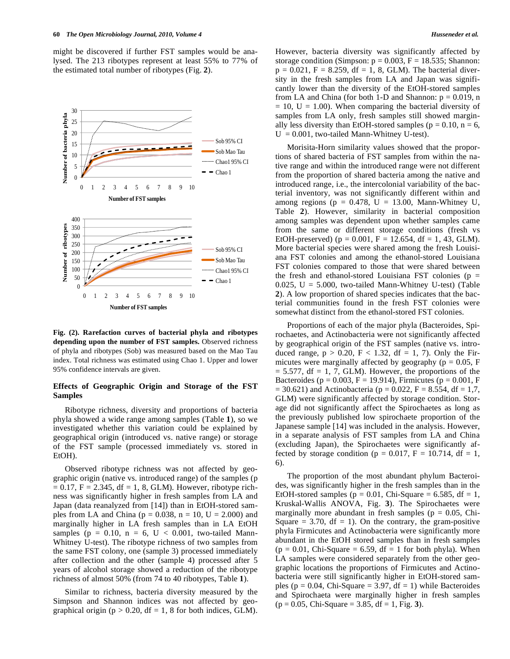might be discovered if further FST samples would be analysed. The 213 ribotypes represent at least 55% to 77% of the estimated total number of ribotypes (Fig. **2**).

![](_page_7_Figure_2.jpeg)

**Fig. (2). Rarefaction curves of bacterial phyla and ribotypes depending upon the number of FST samples.** Observed richness of phyla and ribotypes (Sob) was measured based on the Mao Tau index. Total richness was estimated using Chao 1. Upper and lower 95% confidence intervals are given.

#### **Effects of Geographic Origin and Storage of the FST Samples**

 Ribotype richness, diversity and proportions of bacteria phyla showed a wide range among samples (Table **1**), so we investigated whether this variation could be explained by geographical origin (introduced vs. native range) or storage of the FST sample (processed immediately vs. stored in EtOH).

 Observed ribotype richness was not affected by geographic origin (native vs. introduced range) of the samples (p  $= 0.17$ ,  $F = 2.345$ , df  $= 1, 8$ , GLM). However, ribotype richness was significantly higher in fresh samples from LA and Japan (data reanalyzed from [14]) than in EtOH-stored samples from LA and China ( $p = 0.038$ ,  $n = 10$ ,  $U = 2.000$ ) and marginally higher in LA fresh samples than in LA EtOH samples ( $p = 0.10$ ,  $n = 6$ ,  $U < 0.001$ , two-tailed Mann-Whitney U-test). The ribotype richness of two samples from the same FST colony, one (sample 3) processed immediately after collection and the other (sample 4) processed after 5 years of alcohol storage showed a reduction of the ribotype richness of almost 50% (from 74 to 40 ribotypes, Table **1**).

 Similar to richness, bacteria diversity measured by the Simpson and Shannon indices was not affected by geographical origin ( $p > 0.20$ , df = 1, 8 for both indices, GLM).

However, bacteria diversity was significantly affected by storage condition (Simpson:  $p = 0.003$ ,  $F = 18.535$ ; Shannon:  $p = 0.021$ ,  $F = 8.259$ ,  $df = 1$ , 8, GLM). The bacterial diversity in the fresh samples from LA and Japan was significantly lower than the diversity of the EtOH-stored samples from LA and China (for both 1-D and Shannon:  $p = 0.019$ , n  $= 10$ ,  $U = 1.00$ ). When comparing the bacterial diversity of samples from LA only, fresh samples still showed marginally less diversity than EtOH-stored samples ( $p = 0.10$ ,  $n = 6$ ,  $U = 0.001$ , two-tailed Mann-Whitney U-test).

 Morisita-Horn similarity values showed that the proportions of shared bacteria of FST samples from within the native range and within the introduced range were not different from the proportion of shared bacteria among the native and introduced range, i.e., the intercolonial variability of the bacterial inventory, was not significantly different within and among regions ( $p = 0.478$ ,  $U = 13.00$ , Mann-Whitney U, Table **2**). However, similarity in bacterial composition among samples was dependent upon whether samples came from the same or different storage conditions (fresh vs EtOH-preserved) ( $p = 0.001$ ,  $F = 12.654$ , df = 1, 43, GLM). More bacterial species were shared among the fresh Louisiana FST colonies and among the ethanol-stored Louisiana FST colonies compared to those that were shared between the fresh and ethanol-stored Louisiana FST colonies ( $p =$  $0.025$ ,  $U = 5.000$ , two-tailed Mann-Whitney U-test) (Table **2**). A low proportion of shared species indicates that the bacterial communities found in the fresh FST colonies were somewhat distinct from the ethanol-stored FST colonies.

 Proportions of each of the major phyla (Bacteroides, Spirochaetes, and Actinobacteria were not significantly affected by geographical origin of the FST samples (native vs. introduced range,  $p > 0.20$ ,  $F < 1.32$ ,  $df = 1$ , 7). Only the Firmicutes were marginally affected by geography ( $p = 0.05$ , F  $= 5.577$ , df  $= 1, 7$ , GLM). However, the proportions of the Bacteroides ( $p = 0.003$ ,  $F = 19.914$ ), Firmicutes ( $p = 0.001$ , F  $= 30.621$ ) and Actinobacteria (p = 0.022, F = 8.554, df = 1,7, GLM) were significantly affected by storage condition. Storage did not significantly affect the Spirochaetes as long as the previously published low spirochaete proportion of the Japanese sample [14] was included in the analysis. However, in a separate analysis of FST samples from LA and China (excluding Japan), the Spirochaetes were significantly affected by storage condition ( $p = 0.017$ ,  $F = 10.714$ , df = 1, 6).

 The proportion of the most abundant phylum Bacteroides, was significantly higher in the fresh samples than in the EtOH-stored samples ( $p = 0.01$ , Chi-Square = 6.585, df = 1, Kruskal-Wallis ANOVA, Fig. **3**). The Spirochaetes were marginally more abundant in fresh samples ( $p = 0.05$ , Chi-Square  $= 3.70$ , df  $= 1$ ). On the contrary, the gram-positive phyla Firmicutes and Actinobacteria were significantly more abundant in the EtOH stored samples than in fresh samples  $(p = 0.01, Chi-Square = 6.59, df = 1 for both phyla). When$ LA samples were considered separately from the other geographic locations the proportions of Firmicutes and Actinobacteria were still significantly higher in EtOH-stored samples ( $p = 0.04$ , Chi-Square = 3.97, df = 1) while Bacteroides and Spirochaeta were marginally higher in fresh samples (p = 0.05, Chi-Square = 3.85, df = 1, Fig. **3**).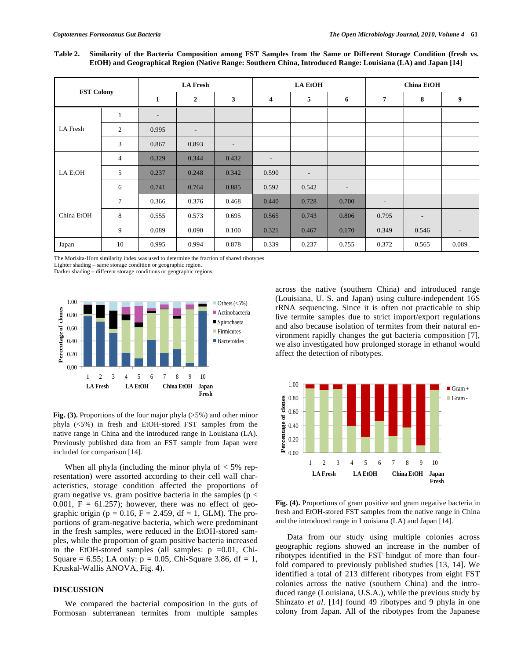**Table 2. Similarity of the Bacteria Composition among FST Samples from the Same or Different Storage Condition (fresh vs. EtOH) and Geographical Region (Native Range: Southern China, Introduced Range: Louisiana (LA) and Japan [14]** 

| <b>FST Colony</b> |                | <b>LA Fresh</b>          |                          |                          |                          | <b>LA EtOH</b>           |                          | <b>China EtOH</b>        |                          |                          |  |
|-------------------|----------------|--------------------------|--------------------------|--------------------------|--------------------------|--------------------------|--------------------------|--------------------------|--------------------------|--------------------------|--|
|                   |                | 1                        | $\mathbf{2}$             | 3                        | 4                        | 5                        | 6                        | $\overline{7}$           | 8                        | 9                        |  |
| <b>LA</b> Fresh   | $\mathbf{1}$   | $\overline{\phantom{a}}$ |                          |                          |                          |                          |                          |                          |                          |                          |  |
|                   | $\mathfrak{2}$ | 0.995                    | $\overline{\phantom{a}}$ |                          |                          |                          |                          |                          |                          |                          |  |
|                   | 3              | 0.867                    | 0.893                    | $\overline{\phantom{0}}$ |                          |                          |                          |                          |                          |                          |  |
| LA EtOH           | $\overline{4}$ | 0.329                    | 0.344                    | 0.432                    | $\overline{\phantom{a}}$ |                          |                          |                          |                          |                          |  |
|                   | 5              | 0.237                    | 0.248                    | 0.342                    | 0.590                    | $\overline{\phantom{0}}$ |                          |                          |                          |                          |  |
|                   | 6              | 0.741                    | 0.764                    | 0.885                    | 0.592                    | 0.542                    | $\overline{\phantom{0}}$ |                          |                          |                          |  |
| China EtOH        | $\overline{7}$ | 0.366                    | 0.376                    | 0.468                    | 0.440                    | 0.728                    | 0.700                    | $\overline{\phantom{a}}$ |                          |                          |  |
|                   | 8              | 0.555                    | 0.573                    | 0.695                    | 0.565                    | 0.743                    | 0.806                    | 0.795                    | $\overline{\phantom{0}}$ |                          |  |
|                   | 9              | 0.089                    | 0.090                    | 0.100                    | 0.321                    | 0.467                    | 0.170                    | 0.349                    | 0.546                    | $\overline{\phantom{a}}$ |  |
| Japan             | 10             | 0.995                    | 0.994                    | 0.878                    | 0.339                    | 0.237                    | 0.755                    | 0.372                    | 0.565                    | 0.089                    |  |

The Morisita-Horn similarity index was used to determine the fraction of shared ribotypes

Lighter shading – same storage condition or geographic region.

Darker shading – different storage conditions or geographic regions.

![](_page_8_Figure_7.jpeg)

**Fig. (3).** Proportions of the four major phyla (>5%) and other minor phyla (<5%) in fresh and EtOH-stored FST samples from the native range in China and the introduced range in Louisiana (LA). Previously published data from an FST sample from Japan were included for comparison [14].

When all phyla (including the minor phyla of  $<$  5% representation) were assorted according to their cell wall characteristics, storage condition affected the proportions of gram negative vs. gram positive bacteria in the samples ( $p <$ 0.001,  $F = 61.257$ ; however, there was no effect of geographic origin ( $p = 0.16$ ,  $F = 2.459$ , df = 1, GLM). The proportions of gram-negative bacteria, which were predominant in the fresh samples, were reduced in the EtOH-stored samples, while the proportion of gram positive bacteria increased in the EtOH-stored samples (all samples:  $p = 0.01$ , Chi-Square = 6.55; LA only:  $p = 0.05$ , Chi-Square 3.86, df = 1, Kruskal-Wallis ANOVA, Fig. **4**).

### **DISCUSSION**

 We compared the bacterial composition in the guts of Formosan subterranean termites from multiple samples across the native (southern China) and introduced range (Louisiana, U. S. and Japan) using culture-independent 16S rRNA sequencing. Since it is often not practicable to ship live termite samples due to strict import/export regulations and also because isolation of termites from their natural environment rapidly changes the gut bacteria composition [7], we also investigated how prolonged storage in ethanol would affect the detection of ribotypes.

![](_page_8_Figure_13.jpeg)

Fig. (4). Proportions of gram positive and gram negative bacteria in fresh and EtOH-stored FST samples from the native range in China and the introduced range in Louisiana (LA) and Japan [14].

 Data from our study using multiple colonies across geographic regions showed an increase in the number of ribotypes identified in the FST hindgut of more than fourfold compared to previously published studies [13, 14]. We identified a total of 213 different ribotypes from eight FST colonies across the native (southern China) and the introduced range (Louisiana, U.S.A.), while the previous study by Shinzato *et al*. [14] found 49 ribotypes and 9 phyla in one colony from Japan. All of the ribotypes from the Japanese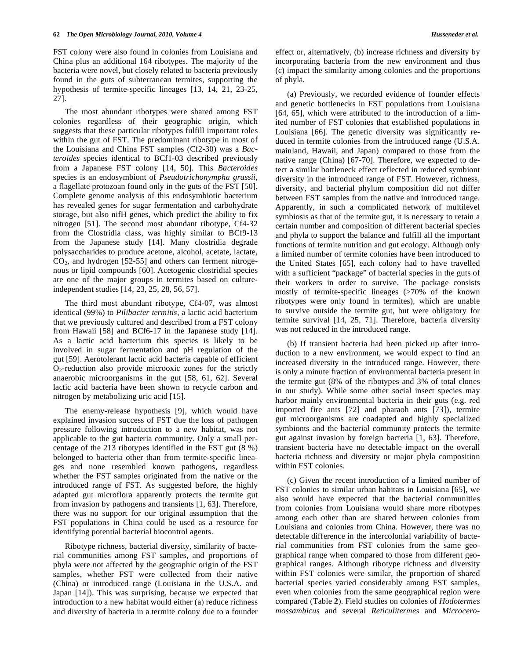FST colony were also found in colonies from Louisiana and China plus an additional 164 ribotypes. The majority of the bacteria were novel, but closely related to bacteria previously found in the guts of subterranean termites, supporting the hypothesis of termite-specific lineages [13, 14, 21, 23-25, 27].

 The most abundant ribotypes were shared among FST colonies regardless of their geographic origin, which suggests that these particular ribotypes fulfill important roles within the gut of FST. The predominant ribotype in most of the Louisiana and China FST samples (Cf2-30) was a *Bacteroides* species identical to BCf1-03 described previously from a Japanese FST colony [14, 50]. This *Bacteroides* species is an endosymbiont of *Pseudotrichonympha grassii*, a flagellate protozoan found only in the guts of the FST [50]. Complete genome analysis of this endosymbiotic bacterium has revealed genes for sugar fermentation and carbohydrate storage, but also nifH genes, which predict the ability to fix nitrogen [51]. The second most abundant ribotype, Cf4-32 from the Clostridia class, was highly similar to BCf9-13 from the Japanese study [14]. Many clostridia degrade polysaccharides to produce acetone, alcohol, acetate, lactate,  $CO<sub>2</sub>$ , and hydrogen [52-55] and others can ferment nitrogenous or lipid compounds [60]. Acetogenic clostridial species are one of the major groups in termites based on cultureindependent studies [14, 23, 25, 28, 56, 57].

 The third most abundant ribotype, Cf4-07, was almost identical (99%) to *Pilibacter termitis*, a lactic acid bacterium that we previously cultured and described from a FST colony from Hawaii [58] and BCf6-17 in the Japanese study [14]. As a lactic acid bacterium this species is likely to be involved in sugar fermentation and pH regulation of the gut [59]. Aerotolerant lactic acid bacteria capable of efficient  $O<sub>2</sub>$ -reduction also provide microoxic zones for the strictly anaerobic microorganisms in the gut [58, 61, 62]. Several lactic acid bacteria have been shown to recycle carbon and nitrogen by metabolizing uric acid [15].

 The enemy-release hypothesis [9], which would have explained invasion success of FST due the loss of pathogen pressure following introduction to a new habitat, was not applicable to the gut bacteria community. Only a small percentage of the 213 ribotypes identified in the FST gut (8 %) belonged to bacteria other than from termite-specific lineages and none resembled known pathogens, regardless whether the FST samples originated from the native or the introduced range of FST. As suggested before, the highly adapted gut microflora apparently protects the termite gut from invasion by pathogens and transients [1, 63]. Therefore, there was no support for our original assumption that the FST populations in China could be used as a resource for identifying potential bacterial biocontrol agents.

 Ribotype richness, bacterial diversity, similarity of bacterial communities among FST samples, and proportions of phyla were not affected by the geographic origin of the FST samples, whether FST were collected from their native (China) or introduced range (Louisiana in the U.S.A. and Japan [14]). This was surprising, because we expected that introduction to a new habitat would either (a) reduce richness and diversity of bacteria in a termite colony due to a founder effect or, alternatively, (b) increase richness and diversity by incorporating bacteria from the new environment and thus (c) impact the similarity among colonies and the proportions of phyla.

 (a) Previously, we recorded evidence of founder effects and genetic bottlenecks in FST populations from Louisiana [64, 65], which were attributed to the introduction of a limited number of FST colonies that established populations in Louisiana [66]. The genetic diversity was significantly reduced in termite colonies from the introduced range (U.S.A. mainland, Hawaii, and Japan) compared to those from the native range (China) [67-70]. Therefore, we expected to detect a similar bottleneck effect reflected in reduced symbiont diversity in the introduced range of FST. However, richness, diversity, and bacterial phylum composition did not differ between FST samples from the native and introduced range. Apparently, in such a complicated network of multilevel symbiosis as that of the termite gut, it is necessary to retain a certain number and composition of different bacterial species and phyla to support the balance and fulfill all the important functions of termite nutrition and gut ecology. Although only a limited number of termite colonies have been introduced to the United States [65], each colony had to have travelled with a sufficient "package" of bacterial species in the guts of their workers in order to survive. The package consists mostly of termite-specific lineages (>70% of the known ribotypes were only found in termites), which are unable to survive outside the termite gut, but were obligatory for termite survival [14, 25, 71]. Therefore, bacteria diversity was not reduced in the introduced range.

 (b) If transient bacteria had been picked up after introduction to a new environment, we would expect to find an increased diversity in the introduced range. However, there is only a minute fraction of environmental bacteria present in the termite gut (8% of the ribotypes and 3% of total clones in our study). While some other social insect species may harbor mainly environmental bacteria in their guts (e.g. red imported fire ants [72] and pharaoh ants [73]), termite gut microorganisms are coadapted and highly specialized symbionts and the bacterial community protects the termite gut against invasion by foreign bacteria [1, 63]. Therefore, transient bacteria have no detectable impact on the overall bacteria richness and diversity or major phyla composition within FST colonies.

 (c) Given the recent introduction of a limited number of FST colonies to similar urban habitats in Louisiana [65], we also would have expected that the bacterial communities from colonies from Louisiana would share more ribotypes among each other than are shared between colonies from Louisiana and colonies from China. However, there was no detectable difference in the intercolonial variability of bacterial communities from FST colonies from the same geographical range when compared to those from different geographical ranges. Although ribotype richness and diversity within FST colonies were similar, the proportion of shared bacterial species varied considerably among FST samples, even when colonies from the same geographical region were compared (Table **2**). Field studies on colonies of *Hodotermes mossambicus* and several *Reticulitermes* and *Microcero-*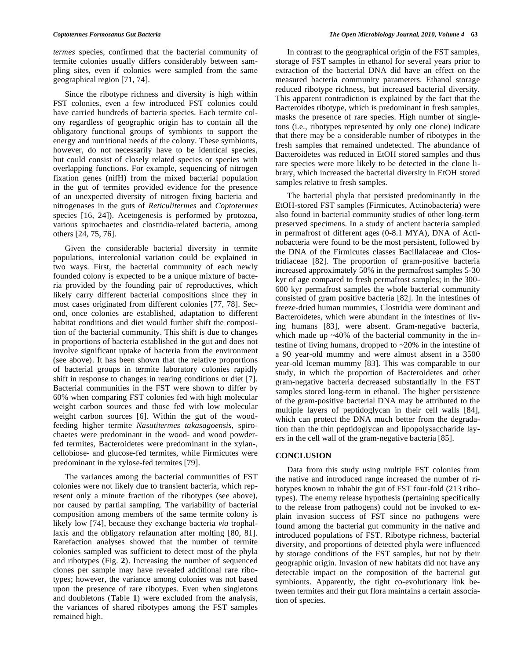*termes* species, confirmed that the bacterial community of termite colonies usually differs considerably between sampling sites, even if colonies were sampled from the same geographical region [71, 74].

 Since the ribotype richness and diversity is high within FST colonies, even a few introduced FST colonies could have carried hundreds of bacteria species. Each termite colony regardless of geographic origin has to contain all the obligatory functional groups of symbionts to support the energy and nutritional needs of the colony. These symbionts, however, do not necessarily have to be identical species, but could consist of closely related species or species with overlapping functions. For example, sequencing of nitrogen fixation genes (nifH) from the mixed bacterial population in the gut of termites provided evidence for the presence of an unexpected diversity of nitrogen fixing bacteria and nitrogenases in the guts of *Reticulitermes* and *Coptotermes* species [16, 24]). Acetogenesis is performed by protozoa, various spirochaetes and clostridia-related bacteria, among others [24, 75, 76].

 Given the considerable bacterial diversity in termite populations, intercolonial variation could be explained in two ways. First, the bacterial community of each newly founded colony is expected to be a unique mixture of bacteria provided by the founding pair of reproductives, which likely carry different bacterial compositions since they in most cases originated from different colonies [77, 78]. Second, once colonies are established, adaptation to different habitat conditions and diet would further shift the composition of the bacterial community. This shift is due to changes in proportions of bacteria established in the gut and does not involve significant uptake of bacteria from the environment (see above). It has been shown that the relative proportions of bacterial groups in termite laboratory colonies rapidly shift in response to changes in rearing conditions or diet [7]. Bacterial communities in the FST were shown to differ by 60% when comparing FST colonies fed with high molecular weight carbon sources and those fed with low molecular weight carbon sources [6]. Within the gut of the woodfeeding higher termite *Nasutitermes takasagoensis*, spirochaetes were predominant in the wood- and wood powderfed termites, Bacteroidetes were predominant in the xylan-, cellobiose- and glucose-fed termites, while Firmicutes were predominant in the xylose-fed termites [79].

 The variances among the bacterial communities of FST colonies were not likely due to transient bacteria, which represent only a minute fraction of the ribotypes (see above), nor caused by partial sampling. The variability of bacterial composition among members of the same termite colony is likely low [74], because they exchange bacteria *via* trophallaxis and the obligatory refaunation after molting [80, 81]. Rarefaction analyses showed that the number of termite colonies sampled was sufficient to detect most of the phyla and ribotypes (Fig. **2**). Increasing the number of sequenced clones per sample may have revealed additional rare ribotypes; however, the variance among colonies was not based upon the presence of rare ribotypes. Even when singletons and doubletons (Table **1**) were excluded from the analysis, the variances of shared ribotypes among the FST samples remained high.

 In contrast to the geographical origin of the FST samples, storage of FST samples in ethanol for several years prior to extraction of the bacterial DNA did have an effect on the measured bacteria community parameters. Ethanol storage reduced ribotype richness, but increased bacterial diversity. This apparent contradiction is explained by the fact that the Bacteroides ribotype, which is predominant in fresh samples, masks the presence of rare species. High number of singletons (i.e., ribotypes represented by only one clone) indicate that there may be a considerable number of ribotypes in the fresh samples that remained undetected. The abundance of Bacteroidetes was reduced in EtOH stored samples and thus rare species were more likely to be detected in the clone library, which increased the bacterial diversity in EtOH stored samples relative to fresh samples.

 The bacterial phyla that persisted predominantly in the EtOH-stored FST samples (Firmicutes, Actinobacteria) were also found in bacterial community studies of other long-term preserved specimens. In a study of ancient bacteria sampled in permafrost of different ages (0-8.1 MYA), DNA of Actinobacteria were found to be the most persistent, followed by the DNA of the Firmicutes classes Bacillalaceae and Clostridiaceae [82]. The proportion of gram-positive bacteria increased approximately 50% in the permafrost samples 5-30 kyr of age compared to fresh permafrost samples; in the 300- 600 kyr permafrost samples the whole bacterial community consisted of gram positive bacteria [82]. In the intestines of freeze-dried human mummies, Clostridia were dominant and Bacteroidetes, which were abundant in the intestines of living humans [83], were absent. Gram-negative bacteria, which made up  $~40\%$  of the bacterial community in the intestine of living humans, dropped to ~20% in the intestine of a 90 year-old mummy and were almost absent in a 3500 year-old Iceman mummy [83]. This was comparable to our study, in which the proportion of Bacteroidetes and other gram-negative bacteria decreased substantially in the FST samples stored long-term in ethanol. The higher persistence of the gram-positive bacterial DNA may be attributed to the multiple layers of peptidoglycan in their cell walls [84], which can protect the DNA much better from the degradation than the thin peptidoglycan and lipopolysaccharide layers in the cell wall of the gram-negative bacteria [85].

#### **CONCLUSION**

 Data from this study using multiple FST colonies from the native and introduced range increased the number of ribotypes known to inhabit the gut of FST four-fold (213 ribotypes). The enemy release hypothesis (pertaining specifically to the release from pathogens) could not be invoked to explain invasion success of FST since no pathogens were found among the bacterial gut community in the native and introduced populations of FST. Ribotype richness, bacterial diversity, and proportions of detected phyla were influenced by storage conditions of the FST samples, but not by their geographic origin. Invasion of new habitats did not have any detectable impact on the composition of the bacterial gut symbionts. Apparently, the tight co-evolutionary link between termites and their gut flora maintains a certain association of species.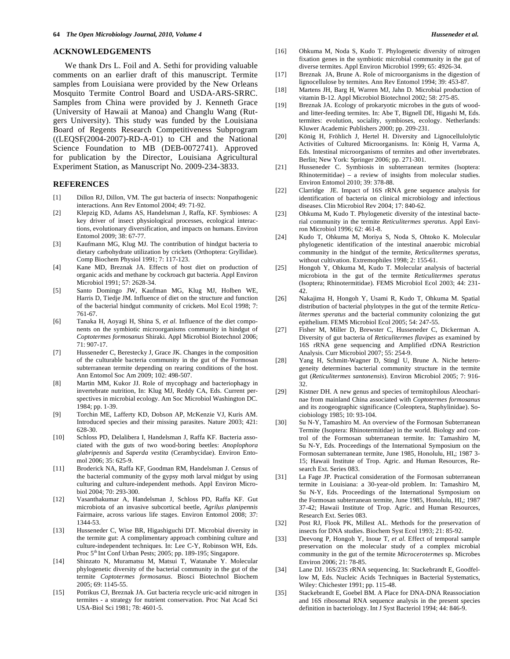#### **ACKNOWLEDGEMENTS**

 We thank Drs L. Foil and A. Sethi for providing valuable comments on an earlier draft of this manuscript. Termite samples from Louisiana were provided by the New Orleans Mosquito Termite Control Board and USDA-ARS-SRRC. Samples from China were provided by J. Kenneth Grace (University of Hawaii at Manoa) and Changlu Wang (Rutgers University). This study was funded by the Louisiana Board of Regents Research Competitiveness Subprogram ((LEQSF(2004-2007)-RD-A-01) to CH and the National Science Foundation to MB (DEB-0072741). Approved for publication by the Director, Louisiana Agricultural Experiment Station, as Manuscript No. 2009-234-3833.

### **REFERENCES**

- [1] Dillon RJ, Dillon, VM. The gut bacteria of insects: Nonpathogenic interactions. Ann Rev Entomol 2004; 49: 71-92.
- [2] Klepzig KD, Adams AS, Handelsman J, Raffa, KF. Symbioses: A key driver of insect physiological processes, ecological interactions, evolutionary diversification, and impacts on humans. Environ Entomol 2009; 38: 67-77.
- [3] Kaufmann MG, Klug MJ. The contribution of hindgut bacteria to dietary carbohydrate utilization by crickets (Orthoptera: Gryllidae). Comp Biochem Physiol 1991; 7: 117-123.
- [4] Kane MD, Breznak JA. Effects of host diet on production of organic acids and methane by cockroach gut bacteria. Appl Environ Microbiol 1991; 57: 2628-34.
- [5] Santo Domingo JW, Kaufman MG, Klug MJ, Holben WE, Harris D, Tiedje JM. Influence of diet on the structure and function of the bacterial hindgut community of crickets. Mol Ecol 1998; 7: 761-67.
- [6] Tanaka H, Aoyagi H, Shina S, *et al*. Influence of the diet components on the symbiotic microorganisms community in hindgut of *Coptotermes formosanus* Shiraki. Appl Microbiol Biotechnol 2006; 71: 907-17.
- [7] Husseneder C, Berestecky J, Grace JK. Changes in the composition of the culturable bacteria community in the gut of the Formosan subterranean termite depending on rearing conditions of the host. Ann Entomol Soc Am 2009; 102: 498-507.
- [8] Martin MM, Kukor JJ. Role of mycophagy and bacteriophagy in invertebrate nutrition, In: Klug MJ, Reddy CA, Eds. Current perspectives in microbial ecology. Am Soc Microbiol Washington DC. 1984; pp. 1-39.
- [9] Torchin ME, Lafferty KD, Dobson AP, McKenzie VJ, Kuris AM. Introduced species and their missing parasites. Nature 2003; 421: 628-30.
- [10] Schloss PD, Delalibera I, Handelsman J, Raffa KF. Bacteria associated with the guts of two wood-boring beetles: *Anoplophora glabripennis* and *Saperda vestita* (Cerambycidae). Environ Entomol 2006; 35: 625-9.
- [11] Broderick NA, Raffa KF, Goodman RM, Handelsman J. Census of the bacterial community of the gypsy moth larval midgut by using culturing and culture-independent methods. Appl Environ Microbiol 2004; 70: 293-300.
- [12] Vasanthakumar A, Handelsman J, Schloss PD, Raffa KF. Gut microbiota of an invasive subcortical beetle, *Agrilus planipennis*  Fairmaire, across various life stages. Environ Entomol 2008; 37: 1344-53.
- [13] Husseneder C, Wise BR, Higashiguchi DT. Microbial diversity in the termite gut: A complimentary approach combining culture and culture-independent techniques. In: Lee C-Y, Robinson WH, Eds. Proc 5<sup>th</sup> Int Conf Urban Pests; 2005; pp. 189-195; Singapore.
- [14] Shinzato N, Muramatsu M, Matsui T, Watanabe Y. Molecular phylogenetic diversity of the bacterial community in the gut of the termite *Coptotermes formosanus*. Biosci Biotechnol Biochem 2005; 69: 1145-55.
- [15] Potrikus CJ, Breznak JA. Gut bacteria recycle uric-acid nitrogen in termites - a strategy for nutrient conservation. Proc Nat Acad Sci USA-Biol Sci 1981; 78: 4601-5.
- [16] Ohkuma M, Noda S, Kudo T. Phylogenetic diversity of nitrogen fixation genes in the symbiotic microbial community in the gut of diverse termites. Appl Environ Microbiol 1999; 65: 4926-34.
- [17] Breznak JA, Brune A. Role of microorganisms in the digestion of lignocellulose by termites. Ann Rev Entomol 1994; 39: 453-87.
- [18] Martens JH, Barg H, Warren MJ, Jahn D. Microbial production of vitamin B-12. Appl Microbiol Biotechnol 2002; 58: 275-85.
- [19] Breznak JA. Ecology of prokaryotic microbes in the guts of woodand litter-feeding termites. In: Abe T, Bignell DE, Higashi M, Eds. termites: evolution, sociality, symbioses, ecology. Netherlands: Kluwer Academic Publishers 2000; pp. 209-231.
- [20] König H, Fröhlich J, Hertel H. Diversity and Lignocellulolytic Activities of Cultured Microorganisms. In: König H, Varma A, Eds. Intestinal microorganisms of termites and other invertebrates. Berlin; New York: Springer 2006; pp. 271-301.
- [21] Husseneder C. Symbiosis in subterranean termites (Isoptera: Rhinotermitidae) – a review of insights from molecular studies. Environ Entomol 2010; 39: 378-88.
- [22] Clarridge JE. Impact of 16S rRNA gene sequence analysis for identification of bacteria on clinical microbiology and infectious diseases. Clin Microbiol Rev 2004; 17: 840-62.
- [23] Ohkuma M, Kudo T. Phylogenetic diversity of the intestinal bacterial community in the termite *Reticulitermes speratus*. Appl Environ Microbiol 1996; 62: 461-8.
- [24] Kudo T, Ohkuma M, Moriya S, Noda S, Ohtoko K. Molecular phylogenetic identification of the intestinal anaerobic microbial community in the hindgut of the termite, *Reticulitermes speratus*, without cultivation. Extremophiles 1998; 2: 155-61.
- [25] Hongoh Y, Ohkuma M, Kudo T. Molecular analysis of bacterial microbiota in the gut of the termite *Reticulitermes speratus* (Isoptera; Rhinotermitidae). FEMS Microbiol Ecol 2003; 44: 231- 42.
- [26] Nakajima H, Hongoh Y, Usami R, Kudo T, Ohkuma M. Spatial distribution of bacterial phylotypes in the gut of the termite *Reticulitermes speratus* and the bacterial community colonizing the gut epithelium. FEMS Microbiol Ecol 2005; 54: 247-55.
- [27] Fisher M, Miller D, Brewster C, Husseneder C, Dickerman A. Diversity of gut bacteria of *Reticulitermes flavipes* as examined by 16S rRNA gene sequencing and Amplified rDNA Restriction Analysis. Curr Microbiol 2007; 55: 254-9.
- [28] Yang H, Schmitt-Wagner D, Stingl U, Brune A. Niche heterogeneity determines bacterial community structure in the termite gut (*Reticulitermes santonensis*). Environ Microbiol 2005; 7: 916- 32.
- [29] Kistner DH. A new genus and species of termitophilous Aleocharinae from mainland China associated with *Coptotermes formosanus* and its zoogeographic significance (Coleoptera, Staphylinidae). Sociobiology 1985; 10: 93-104.
- [30] Su N-Y, Tamashiro M. An overview of the Formosan Subterranean Termite (Isoptera: Rhinotermitidae) in the world. Biology and control of the Formosan subterranean termite. In: Tamashiro M, Su N-Y, Eds. Proceedings of the International Symposium on the Formosan subterranean termite, June 1985, Honolulu, HI,; 1987 3- 15; Hawaii Institute of Trop. Agric. and Human Resources, Research Ext. Series 083.
- [31] La Fage JP. Practical consideration of the Formosan subterranean termite in Louisiana: a 30-year-old problem. In: Tamashiro M, Su N-Y, Eds. Proceedings of the International Symposium on the Formosan subterranean termite, June 1985, Honolulu, HI,; 1987 37-42; Hawaii Institute of Trop. Agric. and Human Resources, Research Ext. Series 083.
- [32] Post RJ, Flook PK, Millest AL. Methods for the preservation of insects for DNA studies. Biochem Syst Ecol 1993; 21: 85-92.
- [33] Deevong P, Hongoh Y, Inoue T, *et al*. Effect of temporal sample preservation on the molecular study of a complex microbial community in the gut of the termite *Microcerotermes* sp. Microbes Environ 2006; 21: 78-85.
- [34] Lane DJ. 16S/23S rRNA sequencing. In: Stackebrandt E, Goodfellow M, Eds. Nucleic Acids Techniques in Bacterial Systematics, Wiley: Chichester 1991; pp. 115-48.
- [35] Stackebrandt E, Goebel BM. A Place for DNA-DNA Reassociation and 16S ribosomal RNA sequence analysis in the present species definition in bacteriology. Int J Syst Bacteriol 1994; 44: 846-9.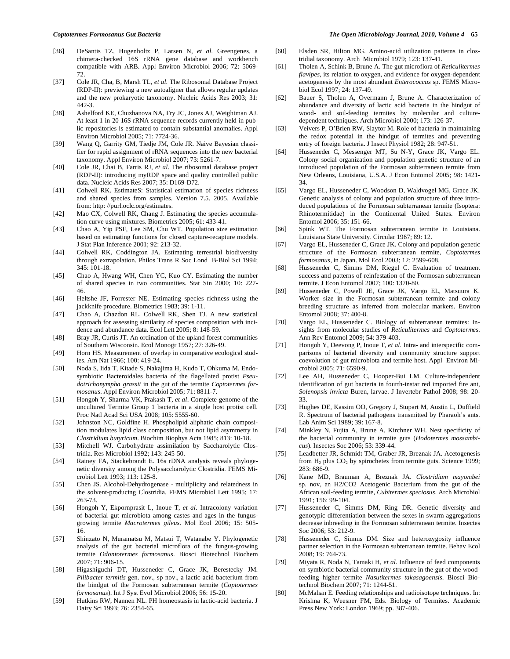- [36] DeSantis TZ, Hugenholtz P, Larsen N, *et al.* Greengenes, a chimera-checked 16S rRNA gene database and workbench compatible with ARB. Appl Environ Microbiol 2006; 72: 5069- 72.
- [37] Cole JR, Cha, B, Marsh TL, *et al*. The Ribosomal Database Project (RDP-II): previewing a new autoaligner that allows regular updates and the new prokaryotic taxonomy. Nucleic Acids Res 2003; 31: 442-3.
- [38] Ashelford KE, Chuzhanova NA, Fry JC, Jones AJ, Weightman AJ. At least 1 in 20 16S rRNA sequence records currently held in public repositories is estimated to contain substantial anomalies. Appl Environ Microbiol 2005; 71: 7724-36.
- [39] Wang Q, Garrity GM, Tiedje JM, Cole JR. Naive Bayesian classifier for rapid assignment of rRNA sequences into the new bacterial taxonomy. Appl Environ Microbiol 2007; 73: 5261-7.
- [40] Cole JR, Chai B, Farris RJ, *et al*. The ribosomal database project (RDP-II): introducing myRDP space and quality controlled public data. Nucleic Acids Res 2007; 35: D169-D72.
- [41] Colwell RK. EstimateS: Statistical estimation of species richness and shared species from samples. Version 7.5. 2005. Available from: http: //purl.oclc.org/estimates.
- [42] Mao CX, Colwell RK, Chang J. Estimating the species accumulation curve using mixtures. Biometrics 2005; 61: 433-41.
- [43] Chao A, Yip PSF, Lee SM, Chu WT. Population size estimation based on estimating functions for closed capture-recapture models. J Stat Plan Inference 2001; 92: 213-32.
- [44] Colwell RK, Coddington JA. Estimating terrestrial biodiversity through extrapolation. Philos Trans R Soc Lond B-Biol Sci 1994; 345: 101-18.
- [45] Chao A, Hwang WH, Chen YC, Kuo CY. Estimating the number of shared species in two communities. Stat Sin 2000; 10: 227- 46.
- [46] Heltshe JF, Forrester NE. Estimating species richness using the jackknife procedure. Biometrics 1983; 39: 1-11.
- [47] Chao A, Chazdon RL, Colwell RK, Shen TJ. A new statistical approach for assessing similarity of species composition with incidence and abundance data. Ecol Lett 2005; 8: 148-59.
- [48] Bray JR, Curtis JT. An ordination of the upland forest communities of Southern Wisconsin. Ecol Monogr 1957; 27: 326-49.
- [49] Horn HS. Measurement of overlap in comparative ecological studies. Am Nat 1966; 100: 419-24.
- [50] Noda S, Iida T, Kitade S, Nakajima H, Kudo T, Ohkuma M. Endosymbiotic Bacteroidales bacteria of the flagellated protist *Pseudotrichonympha grassii* in the gut of the termite *Coptotermes formosanus*. Appl Environ Microbiol 2005; 71: 8811-7.
- [51] Hongoh Y, Sharma VK, Prakash T, *et al*. Complete genome of the uncultured Termite Group 1 bacteria in a single host protist cell. Proc Natl Acad Sci USA 2008; 105: 5555-60.
- [52] Johnston NC, Goldfine H. Phospholipid aliphatic chain composition modulates lipid class composition, but not lipid asymmetry in *Clostridium butyricum*. Biochim Biophys Acta 1985; 813: 10-18.
- [53] Mitchell WJ. Carbohydrate assimilation by Saccharolytic Clostridia. Res Microbiol 1992; 143: 245-50.
- [54] Rainey FA, Stackebrandt E. 16s rDNA analysis reveals phylogenetic diversity among the Polysaccharolytic Clostridia. FEMS Microbiol Lett 1993; 113: 125-8.
- [55] Chen JS. Alcohol-Dehydrogenase multiplicity and relatedness in the solvent-producing Clostridia. FEMS Microbiol Lett 1995; 17: 263-73.
- [56] Hongoh Y, Ekpornprasit L, Inoue T, *et al*. Intracolony variation of bacterial gut microbiota among castes and ages in the fungusgrowing termite *Macrotermes gilvus*. Mol Ecol 2006; 15: 505- 16.
- [57] Shinzato N, Muramatsu M, Matsui T, Watanabe Y. Phylogenetic analysis of the gut bacterial microflora of the fungus-growing termite *Odontotermes formosanus*. Biosci Biotechnol Biochem 2007; 71: 906-15.
- [58] Higashiguchi DT, Husseneder C, Grace JK, Berestecky JM. *Pilibacter termitis* gen. nov., sp nov., a lactic acid bacterium from the hindgut of the Formosan subterranean termite (*Coptotermes formosanus*). Int J Syst Evol Microbiol 2006; 56: 15-20.
- [59] Hutkins RW, Nannen NL. PH homeostasis in lactic-acid bacteria. J Dairy Sci 1993; 76: 2354-65.

#### *Coptotermes Formosanus Gut Bacteria The Open Microbiology Journal, 2010, Volume 4* **65**

- [60] Elsden SR, Hilton MG. Amino-acid utilization patterns in clostridial taxonomy. Arch Microbiol 1979; 123: 137-41.
- [61] Tholen A, Schink B, Brune A. The gut microflora of *Reticulitermes flavipes*, its relation to oxygen, and evidence for oxygen-dependent acetogenesis by the most abundant *Enterococcus* sp. FEMS Microbiol Ecol 1997; 24: 137-49.
- [62] Bauer S, Tholen A, Overmann J, Brune A. Characterization of abundance and diversity of lactic acid bacteria in the hindgut of wood- and soil-feeding termites by molecular and culturedependent techniques. Arch Microbiol 2000; 173: 126-37.
- [63] Veivers P, O'Brien RW, Slaytor M. Role of bacteria in maintaining the redox potential in the hindgut of termites and preventing entry of foreign bacteria. J Insect Physiol 1982; 28: 947-51.
- [64] Husseneder C, Messenger MT, Su N-Y, Grace JK, Vargo EL. Colony social organization and population genetic structure of an introduced population of the Formosan subterranean termite from New Orleans, Louisiana, U.S.A. J Econ Entomol 2005; 98: 1421- 34.
- [65] Vargo EL, Husseneder C, Woodson D, Waldvogel MG, Grace JK. Genetic analysis of colony and population structure of three introduced populations of the Formosan subterranean termite (Isoptera: Rhinotermitidae) in the Continental United States. Environ Entomol 2006; 35: 151-66.
- [66] Spink WT. The Formosan subterranean termite in Louisiana. Louisiana State University. Circular 1967; 89: 12.
- [67] Vargo EL, Husseneder C, Grace JK. Colony and population genetic structure of the Formosan subterranean termite, *Coptotermes formosanus*, in Japan. Mol Ecol 2003; 12: 2599-608.
- [68] Husseneder C, Simms DM, Riegel C. Evaluation of treatment success and patterns of reinfestation of the Formosan subterranean termite. J Econ Entomol 2007; 100: 1370-80.
- [69] Husseneder C, Powell JE, Grace JK, Vargo EL, Matsuura K. Worker size in the Formosan subterranean termite and colony breeding structure as inferred from molecular markers. Environ Entomol 2008; 37: 400-8.
- [70] Vargo EL, Husseneder C. Biology of subterranean termites: Insights from molecular studies of *Reticulitermes* and *Coptotermes*. Ann Rev Entomol 2009; 54: 379-403.
- [71] Hongoh Y, Deevong P, Inoue T, *et al*. Intra- and interspecific comparisons of bacterial diversity and community structure support coevolution of gut microbiota and termite host. Appl Environ Microbiol 2005; 71: 6590-9.
- [72] Lee AH, Husseneder C, Hooper-Bui LM. Culture-independent identification of gut bacteria in fourth-instar red imported fire ant, *Solenopsis invicta* Buren, larvae. J Invertebr Pathol 2008; 98: 20- 33.
- [73] Hughes DE, Kassim OO, Gregory J, Stupart M, Austin L, Duffield R. Spectrum of bacterial pathogens transmitted by Pharaoh's ants. Lab Anim Sci 1989; 39: 167-8.
- [74] Minkley N, Fujita A, Brune A, Kirchner WH. Nest specificity of the bacterial community in termite guts (*Hodotermes mossambicus*). Insectes Soc 2006; 53: 339-44.
- [75] Leadbetter JR, Schmidt TM, Graber JR, Breznak JA. Acetogenesis from  $H_2$  plus  $CO_2$  by spirochetes from termite guts. Science 1999; 283: 686-9.
- [76] Kane MD, Brauman A, Breznak JA. *Clostridium mayombei* sp. nov, an H2/CO2 Acetogenic Bacterium from the gut of the African soil-feeding termite, *Cubitermes speciosus*. Arch Microbiol 1991; 156: 99-104.
- [77] Husseneder C, Simms DM, Ring DR. Genetic diversity and genotypic differentiation between the sexes in swarm aggregations decrease inbreeding in the Formosan subterranean termite. Insectes Soc 2006; 53: 212-9.
- [78] Husseneder C, Simms DM. Size and heterozygosity influence partner selection in the Formosan subterranean termite. Behav Ecol 2008; 19: 764-73.
- [79] Miyata R, Noda N, Tamaki H, *et al*. Influence of feed components on symbiotic bacterial community structure in the gut of the woodfeeding higher termite *Nasutitermes takasagoensis*. Biosci Biotechnol Biochem 2007; 71: 1244-51.
- [80] McMahan E. Feeding relationships and radioisotope techniques. In: Krishna K, Weesner FM, Eds. Biology of Termites. Academic Press New York: London 1969; pp. 387-406.